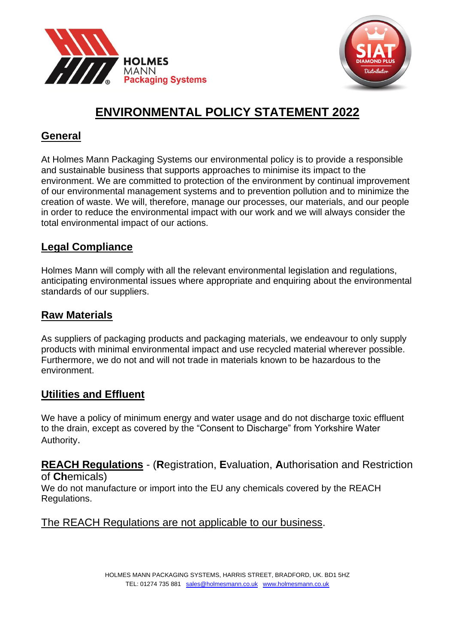



# **ENVIRONMENTAL POLICY STATEMENT 2022**

# **General**

At Holmes Mann Packaging Systems our environmental policy is to provide a responsible and sustainable business that supports approaches to minimise its impact to the environment. We are committed to protection of the environment by continual improvement of our environmental management systems and to prevention pollution and to minimize the creation of waste. We will, therefore, manage our processes, our materials, and our people in order to reduce the environmental impact with our work and we will always consider the total environmental impact of our actions.

# **Legal Compliance**

Holmes Mann will comply with all the relevant environmental legislation and regulations, anticipating environmental issues where appropriate and enquiring about the environmental standards of our suppliers.

# **Raw Materials**

As suppliers of packaging products and packaging materials, we endeavour to only supply products with minimal environmental impact and use recycled material wherever possible. Furthermore, we do not and will not trade in materials known to be hazardous to the environment.

# **Utilities and Effluent**

We have a policy of minimum energy and water usage and do not discharge toxic effluent to the drain, except as covered by the "Consent to Discharge" from Yorkshire Water Authority.

**REACH Regulations** - (**R**egistration, **E**valuation, **A**uthorisation and Restriction of **Ch**emicals)

We do not manufacture or import into the EU any chemicals covered by the REACH Regulations.

#### The REACH Regulations are not applicable to our business.